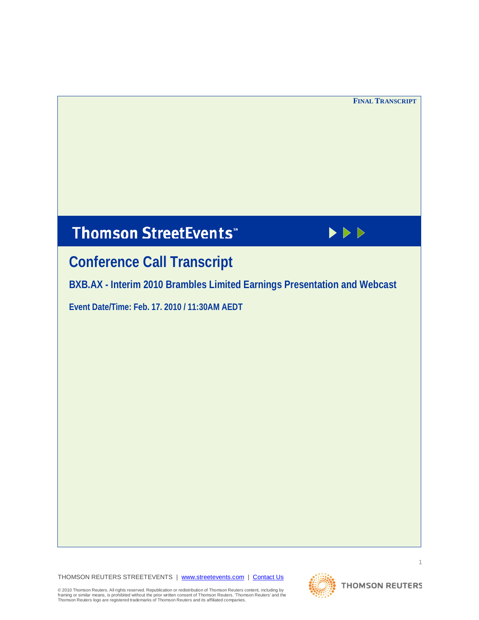# **Thomson StreetEvents**\*



# **Conference Call Transcript**

**BXB.AX - Interim 2010 Brambles Limited Earnings Presentation and Webcast**

**Event Date/Time: Feb. 17. 2010 / 11:30AM AEDT** 

THOMSON REUTERS STREETEVENTS | [www.streetevents.com](http://www.streetevents.com/) | [Contact Us](http://www010.streetevents.com/contact.asp)



© 2010 Thomson Reuters. All rights reserved. Republication or redistribution of Thomson Reuters content, including by<br>framing or similar means, is prohibited without the prior written consent of Thomson Reuters' Thomson Re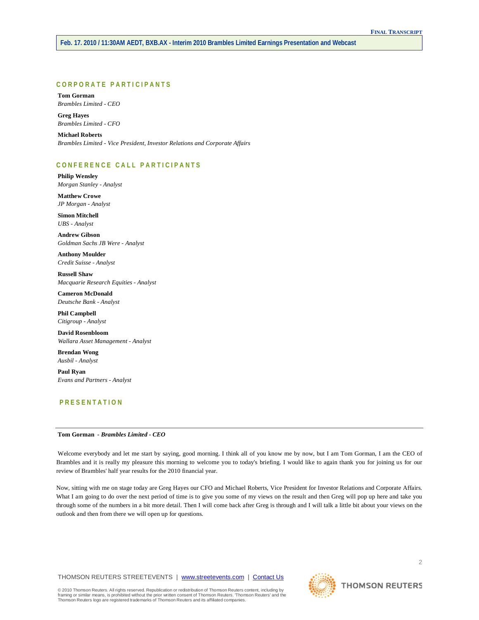# **CORPORATE PARTICIPANTS**

**Tom Gorman** *Brambles Limited - CEO*

**Greg Hayes** *Brambles Limited - CFO*

**Michael Roberts** *Brambles Limited - Vice President, Investor Relations and Corporate Affairs*

# **CONFERENCE CALL PART ICIPANTS**

**Philip Wensley** *Morgan Stanley - Analyst*

**Matthew Crowe** *JP Morgan - Analyst*

**Simon Mitchell** *UBS - Analyst*

**Andrew Gibson** *Goldman Sachs JB Were - Analyst*

**Anthony Moulder** *Credit Suisse - Analyst*

**Russell Shaw** *Macquarie Research Equities - Analyst*

**Cameron McDonald** *Deutsche Bank - Analyst*

**Phil Campbell** *Citigroup - Analyst*

**David Rosenbloom** *Wallara Asset Management - Analyst*

**Brendan Wong** *Ausbil - Analyst*

**Paul Ryan** *Evans and Partners - Analyst*

# **PRESENTATION**

**Tom Gorman** *- Brambles Limited - CEO* 

Welcome everybody and let me start by saying, good morning. I think all of you know me by now, but I am Tom Gorman, I am the CEO of Brambles and it is really my pleasure this morning to welcome you to today's briefing. I would like to again thank you for joining us for our review of Brambles' half year results for the 2010 financial year.

Now, sitting with me on stage today are Greg Hayes our CFO and Michael Roberts, Vice President for Investor Relations and Corporate Affairs. What I am going to do over the next period of time is to give you some of my views on the result and then Greg will pop up here and take you through some of the numbers in a bit more detail. Then I will come back after Greg is through and I will talk a little bit about your views on the outlook and then from there we will open up for questions.

THOMSON REUTERS STREETEVENTS | [www.streetevents.com](http://www.streetevents.com/) | [Contact Us](http://www010.streetevents.com/contact.asp)

© 2010 Thomson Reuters. All rights reserved. Republication or redistribution of Thomson Reuters content, including by<br>framing or similar means, is prohibited without the prior written consent of Thomson Reuters' Thomson Re

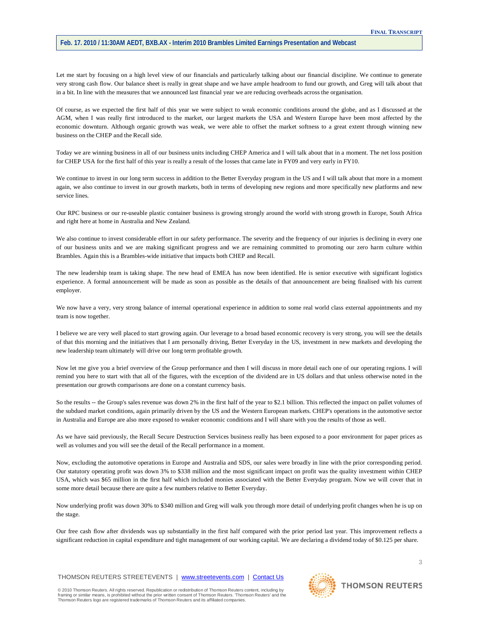Let me start by focusing on a high level view of our financials and particularly talking about our financial discipline. We continue to generate very strong cash flow. Our balance sheet is really in great shape and we have ample headroom to fund our growth, and Greg will talk about that in a bit. In line with the measures that we announced last financial year we are reducing overheads across the organisation.

Of course, as we expected the first half of this year we were subject to weak economic conditions around the globe, and as I discussed at the AGM, when I was really first introduced to the market, our largest markets the USA and Western Europe have been most affected by the economic downturn. Although organic growth was weak, we were able to offset the market softness to a great extent through winning new business on the CHEP and the Recall side.

Today we are winning business in all of our business units including CHEP America and I will talk about that in a moment. The net loss position for CHEP USA for the first half of this year is really a result of the losses that came late in FY09 and very early in FY10.

We continue to invest in our long term success in addition to the Better Everyday program in the US and I will talk about that more in a moment again, we also continue to invest in our growth markets, both in terms of developing new regions and more specifically new platforms and new service lines.

Our RPC business or our re-useable plastic container business is growing strongly around the world with strong growth in Europe, South Africa and right here at home in Australia and New Zealand.

We also continue to invest considerable effort in our safety performance. The severity and the frequency of our injuries is declining in every one of our business units and we are making significant progress and we are remaining committed to promoting our zero harm culture within Brambles. Again this is a Brambles-wide initiative that impacts both CHEP and Recall.

The new leadership team is taking shape. The new head of EMEA has now been identified. He is senior executive with significant logistics experience. A formal announcement will be made as soon as possible as the details of that announcement are being finalised with his current employer.

We now have a very, very strong balance of internal operational experience in addition to some real world class external appointments and my team is now together.

I believe we are very well placed to start growing again. Our leverage to a broad based economic recovery is very strong, you will see the details of that this morning and the initiatives that I am personally driving, Better Everyday in the US, investment in new markets and developing the new leadership team ultimately will drive our long term profitable growth.

Now let me give you a brief overview of the Group performance and then I will discuss in more detail each one of our operating regions. I will remind you here to start with that all of the figures, with the exception of the dividend are in US dollars and that unless otherwise noted in the presentation our growth comparisons are done on a constant currency basis.

So the results -- the Group's sales revenue was down 2% in the first half of the year to \$2.1 billion. This reflected the impact on pallet volumes of the subdued market conditions, again primarily driven by the US and the Western European markets. CHEP's operations in the automotive sector in Australia and Europe are also more exposed to weaker economic conditions and I will share with you the results of those as well.

As we have said previously, the Recall Secure Destruction Services business really has been exposed to a poor environment for paper prices as well as volumes and you will see the detail of the Recall performance in a moment.

Now, excluding the automotive operations in Europe and Australia and SDS, our sales were broadly in line with the prior corresponding period. Our statutory operating profit was down 3% to \$338 million and the most significant impact on profit was the quality investment within CHEP USA, which was \$65 million in the first half which included monies associated with the Better Everyday program. Now we will cover that in some more detail because there are quite a few numbers relative to Better Everyday.

Now underlying profit was down 30% to \$340 million and Greg will walk you through more detail of underlying profit changes when he is up on the stage.

Our free cash flow after dividends was up substantially in the first half compared with the prior period last year. This improvement reflects a significant reduction in capital expenditure and tight management of our working capital. We are declaring a dividend today of \$0.125 per share.

THOMSON REUTERS STREETEVENTS | [www.streetevents.com](http://www.streetevents.com/) | [Contact Us](http://www010.streetevents.com/contact.asp)

© 2010 Thomson Reuters. All rights reserved. Republication or redistribution of Thomson Reuters content, including by<br>framing or similar means, is prohibited without the prior written consent of Thomson Reuters' Thomson Re

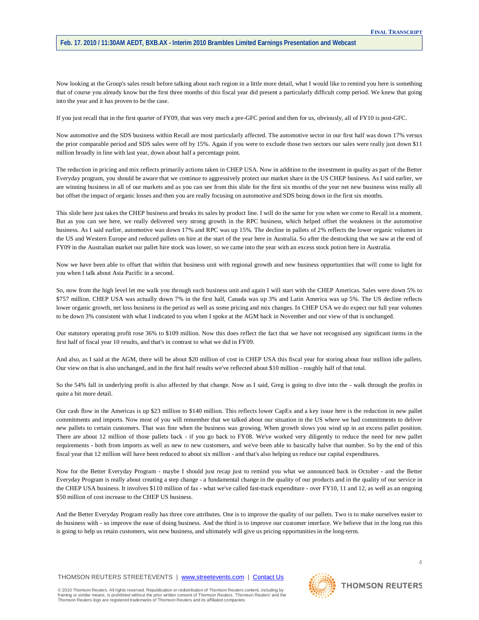Now looking at the Group's sales result before talking about each region in a little more detail, what I would like to remind you here is something that of course you already know but the first three months of this fiscal year did present a particularly difficult comp period. We knew that going into the year and it has proven to be the case.

If you just recall that in the first quarter of FY09, that was very much a pre-GFC period and then for us, obviously, all of FY10 is post-GFC.

Now automotive and the SDS business within Recall are most particularly affected. The automotive sector in our first half was down 17% versus the prior comparable period and SDS sales were off by 15%. Again if you were to exclude those two sectors our sales were really just down \$11 million broadly in line with last year, down about half a percentage point.

The reduction in pricing and mix reflects primarily actions taken in CHEP USA. Now in addition to the investment in quality as part of the Better Everyday program, you should be aware that we continue to aggressively protect our market share in the US CHEP business. As I said earlier, we are winning business in all of our markets and as you can see from this slide for the first six months of the year net new business wins really all but offset the impact of organic losses and then you are really focusing on automotive and SDS being down in the first six months.

This slide here just takes the CHEP business and breaks its sales by product line. I will do the same for you when we come to Recall in a moment. But as you can see here, we really delivered very strong growth in the RPC business, which helped offset the weakness in the automotive business. As I said earlier, automotive was down 17% and RPC was up 15%. The decline in pallets of 2% reflects the lower organic volumes in the US and Western Europe and reduced pallets on hire at the start of the year here in Australia. So after the destocking that we saw at the end of FY09 in the Australian market our pallet hire stock was lower, so we came into the year with an excess stock potion here in Australia.

Now we have been able to offset that within that business unit with regional growth and new business opportunities that will come to light for you when I talk about Asia Pacific in a second.

So, now from the high level let me walk you through each business unit and again I will start with the CHEP Americas. Sales were down 5% to \$757 million. CHEP USA was actually down 7% in the first half, Canada was up 3% and Latin America was up 5%. The US decline reflects lower organic growth, net loss business in the period as well as some pricing and mix changes. In CHEP USA we do expect our full year volumes to be down 3% consistent with what I indicated to you when I spoke at the AGM back in November and our view of that is unchanged.

Our statutory operating profit rose 36% to \$109 million. Now this does reflect the fact that we have not recognised any significant items in the first half of fiscal year 10 results, and that's in contrast to what we did in FY09.

And also, as I said at the AGM, there will be about \$20 million of cost in CHEP USA this fiscal year for storing about four million idle pallets. Our view on that is also unchanged, and in the first half results we've reflected about \$10 million - roughly half of that total.

So the 54% fall in underlying profit is also affected by that change. Now as I said, Greg is going to dive into the - walk through the profits in quite a bit more detail.

Our cash flow in the Americas is up \$23 million to \$140 million. This reflects lower CapEx and a key issue here is the reduction in new pallet commitments and imports. Now most of you will remember that we talked about our situation in the US where we had commitments to deliver new pallets to certain customers. That was fine when the business was growing. When growth slows you wind up in an excess pallet position. There are about 12 million of those pallets back - if you go back to FY08. We've worked very diligently to reduce the need for new pallet requirements - both from imports as well as new to new customers, and we've been able to basically halve that number. So by the end of this fiscal year that 12 million will have been reduced to about six million - and that's also helping us reduce our capital expenditures.

Now for the Better Everyday Program - maybe I should just recap just to remind you what we announced back in October - and the Better Everyday Program is really about creating a step change - a fundamental change in the quality of our products and in the quality of our service in the CHEP USA business. It involves \$110 million of fas - what we've called fast-track expenditure - over FY10, 11 and 12, as well as an ongoing \$50 million of cost increase to the CHEP US business.

And the Better Everyday Program really has three core attributes. One is to improve the quality of our pallets. Two is to make ourselves easier to do business with - so improve the ease of doing business. And the third is to improve our customer interface. We believe that in the long run this is going to help us retain customers, win new business, and ultimately will give us pricing opportunities in the long-term.

THOMSON REUTERS STREETEVENTS | [www.streetevents.com](http://www.streetevents.com/) | [Contact Us](http://www010.streetevents.com/contact.asp)

© 2010 Thomson Reuters. All rights reserved. Republication or redistribution of Thomson Reuters content, including by<br>framing or similar means, is prohibited without the prior written consent of Thomson Reuters. 'Thomson R Thomson Reuters logo are registered trademarks of Thomson Reuters and its affiliated companies.

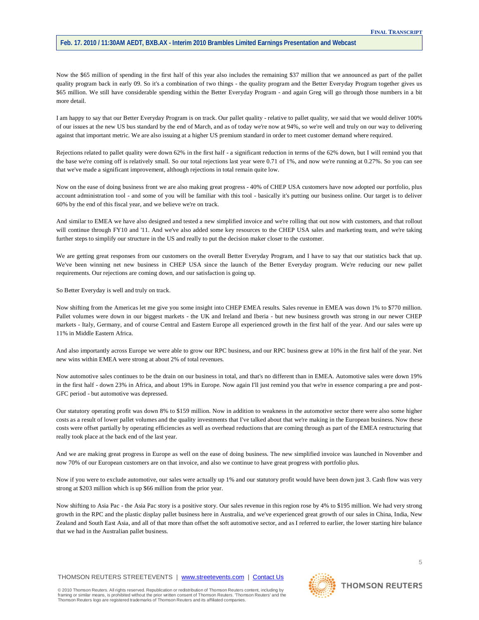Now the \$65 million of spending in the first half of this year also includes the remaining \$37 million that we announced as part of the pallet quality program back in early 09. So it's a combination of two things - the quality program and the Better Everyday Program together gives us \$65 million. We still have considerable spending within the Better Everyday Program - and again Greg will go through those numbers in a bit more detail.

I am happy to say that our Better Everyday Program is on track. Our pallet quality - relative to pallet quality, we said that we would deliver 100% of our issues at the new US bus standard by the end of March, and as of today we're now at 94%, so we're well and truly on our way to delivering against that important metric. We are also issuing at a higher US premium standard in order to meet customer demand where required.

Rejections related to pallet quality were down 62% in the first half - a significant reduction in terms of the 62% down, but I will remind you that the base we're coming off is relatively small. So our total rejections last year were 0.71 of 1%, and now we're running at 0.27%. So you can see that we've made a significant improvement, although rejections in total remain quite low.

Now on the ease of doing business front we are also making great progress - 40% of CHEP USA customers have now adopted our portfolio, plus account administration tool - and some of you will be familiar with this tool - basically it's putting our business online. Our target is to deliver 60% by the end of this fiscal year, and we believe we're on track.

And similar to EMEA we have also designed and tested a new simplified invoice and we're rolling that out now with customers, and that rollout will continue through FY10 and '11. And we've also added some key resources to the CHEP USA sales and marketing team, and we're taking further steps to simplify our structure in the US and really to put the decision maker closer to the customer.

We are getting great responses from our customers on the overall Better Everyday Program, and I have to say that our statistics back that up. We've been winning net new business in CHEP USA since the launch of the Better Everyday program. We're reducing our new pallet requirements. Our rejections are coming down, and our satisfaction is going up.

So Better Everyday is well and truly on track.

Now shifting from the Americas let me give you some insight into CHEP EMEA results. Sales revenue in EMEA was down 1% to \$770 million. Pallet volumes were down in our biggest markets - the UK and Ireland and Iberia - but new business growth was strong in our newer CHEP markets - Italy, Germany, and of course Central and Eastern Europe all experienced growth in the first half of the year. And our sales were up 11% in Middle Eastern Africa.

And also importantly across Europe we were able to grow our RPC business, and our RPC business grew at 10% in the first half of the year. Net new wins within EMEA were strong at about 2% of total revenues.

Now automotive sales continues to be the drain on our business in total, and that's no different than in EMEA. Automotive sales were down 19% in the first half - down 23% in Africa, and about 19% in Europe. Now again I'll just remind you that we're in essence comparing a pre and post-GFC period - but automotive was depressed.

Our statutory operating profit was down 8% to \$159 million. Now in addition to weakness in the automotive sector there were also some higher costs as a result of lower pallet volumes and the quality investments that I've talked about that we're making in the European business. Now these costs were offset partially by operating efficiencies as well as overhead reductions that are coming through as part of the EMEA restructuring that really took place at the back end of the last year.

And we are making great progress in Europe as well on the ease of doing business. The new simplified invoice was launched in November and now 70% of our European customers are on that invoice, and also we continue to have great progress with portfolio plus.

Now if you were to exclude automotive, our sales were actually up 1% and our statutory profit would have been down just 3. Cash flow was very strong at \$203 million which is up \$66 million from the prior year.

Now shifting to Asia Pac - the Asia Pac story is a positive story. Our sales revenue in this region rose by 4% to \$195 million. We had very strong growth in the RPC and the plastic display pallet business here in Australia, and we've experienced great growth of our sales in China, India, New Zealand and South East Asia, and all of that more than offset the soft automotive sector, and as I referred to earlier, the lower starting hire balance that we had in the Australian pallet business.

THOMSON REUTERS STREETEVENTS | [www.streetevents.com](http://www.streetevents.com/) | [Contact Us](http://www010.streetevents.com/contact.asp)

© 2010 Thomson Reuters. All rights reserved. Republication or redistribution of Thomson Reuters content, including by<br>framing or similar means, is prohibited without the prior written consent of Thomson Reuters. 'Thomson R Thomson Reuters logo are registered trademarks of Thomson Reuters and its affiliated companies.

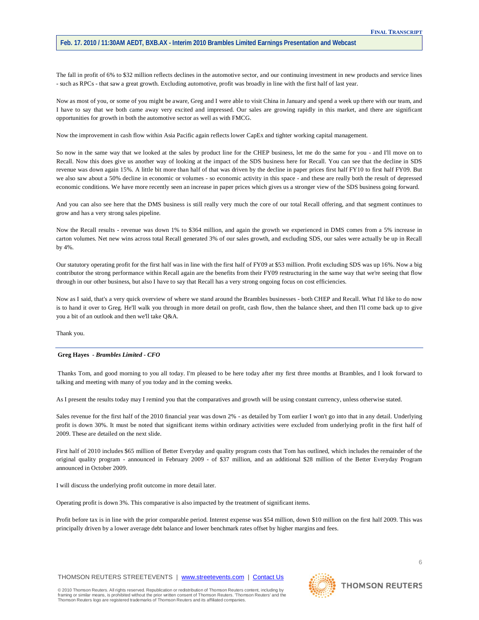The fall in profit of 6% to \$32 million reflects declines in the automotive sector, and our continuing investment in new products and service lines - such as RPCs - that saw a great growth. Excluding automotive, profit was broadly in line with the first half of last year.

Now as most of you, or some of you might be aware, Greg and I were able to visit China in January and spend a week up there with our team, and I have to say that we both came away very excited and impressed. Our sales are growing rapidly in this market, and there are significant opportunities for growth in both the automotive sector as well as with FMCG.

Now the improvement in cash flow within Asia Pacific again reflects lower CapEx and tighter working capital management.

So now in the same way that we looked at the sales by product line for the CHEP business, let me do the same for you - and I'll move on to Recall. Now this does give us another way of looking at the impact of the SDS business here for Recall. You can see that the decline in SDS revenue was down again 15%. A little bit more than half of that was driven by the decline in paper prices first half FY10 to first half FY09. But we also saw about a 50% decline in economic or volumes - so economic activity in this space - and these are really both the result of depressed economic conditions. We have more recently seen an increase in paper prices which gives us a stronger view of the SDS business going forward.

And you can also see here that the DMS business is still really very much the core of our total Recall offering, and that segment continues to grow and has a very strong sales pipeline.

Now the Recall results - revenue was down 1% to \$364 million, and again the growth we experienced in DMS comes from a 5% increase in carton volumes. Net new wins across total Recall generated 3% of our sales growth, and excluding SDS, our sales were actually be up in Recall by 4%.

Our statutory operating profit for the first half was in line with the first half of FY09 at \$53 million. Profit excluding SDS was up 16%. Now a big contributor the strong performance within Recall again are the benefits from their FY09 restructuring in the same way that we're seeing that flow through in our other business, but also I have to say that Recall has a very strong ongoing focus on cost efficiencies.

Now as I said, that's a very quick overview of where we stand around the Brambles businesses - both CHEP and Recall. What I'd like to do now is to hand it over to Greg. He'll walk you through in more detail on profit, cash flow, then the balance sheet, and then I'll come back up to give you a bit of an outlook and then we'll take Q&A.

Thank you.

#### **Greg Hayes** *- Brambles Limited - CFO*

Thanks Tom, and good morning to you all today. I'm pleased to be here today after my first three months at Brambles, and I look forward to talking and meeting with many of you today and in the coming weeks.

As I present the results today may I remind you that the comparatives and growth will be using constant currency, unless otherwise stated.

Sales revenue for the first half of the 2010 financial year was down 2% - as detailed by Tom earlier I won't go into that in any detail. Underlying profit is down 30%. It must be noted that significant items within ordinary activities were excluded from underlying profit in the first half of 2009. These are detailed on the next slide.

First half of 2010 includes \$65 million of Better Everyday and quality program costs that Tom has outlined, which includes the remainder of the original quality program - announced in February 2009 - of \$37 million, and an additional \$28 million of the Better Everyday Program announced in October 2009.

I will discuss the underlying profit outcome in more detail later.

Operating profit is down 3%. This comparative is also impacted by the treatment of significant items.

Profit before tax is in line with the prior comparable period. Interest expense was \$54 million, down \$10 million on the first half 2009. This was principally driven by a lower average debt balance and lower benchmark rates offset by higher margins and fees.

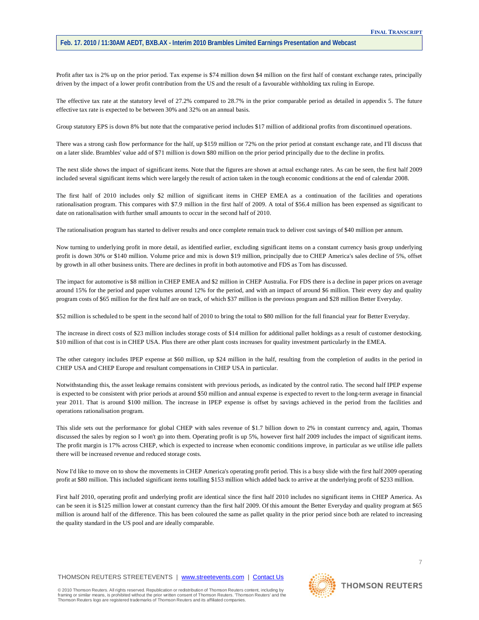Profit after tax is 2% up on the prior period. Tax expense is \$74 million down \$4 million on the first half of constant exchange rates, principally driven by the impact of a lower profit contribution from the US and the result of a favourable withholding tax ruling in Europe.

The effective tax rate at the statutory level of 27.2% compared to 28.7% in the prior comparable period as detailed in appendix 5. The future effective tax rate is expected to be between 30% and 32% on an annual basis.

Group statutory EPS is down 8% but note that the comparative period includes \$17 million of additional profits from discontinued operations.

There was a strong cash flow performance for the half, up \$159 million or 72% on the prior period at constant exchange rate, and I'll discuss that on a later slide. Brambles' value add of \$71 million is down \$80 million on the prior period principally due to the decline in profits.

The next slide shows the impact of significant items. Note that the figures are shown at actual exchange rates. As can be seen, the first half 2009 included several significant items which were largely the result of action taken in the tough economic conditions at the end of calendar 2008.

The first half of 2010 includes only \$2 million of significant items in CHEP EMEA as a continuation of the facilities and operations rationalisation program. This compares with \$7.9 million in the first half of 2009. A total of \$56.4 million has been expensed as significant to date on rationalisation with further small amounts to occur in the second half of 2010.

The rationalisation program has started to deliver results and once complete remain track to deliver cost savings of \$40 million per annum.

Now turning to underlying profit in more detail, as identified earlier, excluding significant items on a constant currency basis group underlying profit is down 30% or \$140 million. Volume price and mix is down \$19 million, principally due to CHEP America's sales decline of 5%, offset by growth in all other business units. There are declines in profit in both automotive and FDS as Tom has discussed.

The impact for automotive is \$8 million in CHEP EMEA and \$2 million in CHEP Australia. For FDS there is a decline in paper prices on average around 15% for the period and paper volumes around 12% for the period, and with an impact of around \$6 million. Their every day and quality program costs of \$65 million for the first half are on track, of which \$37 million is the previous program and \$28 million Better Everyday.

\$52 million is scheduled to be spent in the second half of 2010 to bring the total to \$80 million for the full financial year for Better Everyday.

The increase in direct costs of \$23 million includes storage costs of \$14 million for additional pallet holdings as a result of customer destocking. \$10 million of that cost is in CHEP USA. Plus there are other plant costs increases for quality investment particularly in the EMEA.

The other category includes IPEP expense at \$60 million, up \$24 million in the half, resulting from the completion of audits in the period in CHEP USA and CHEP Europe and resultant compensations in CHEP USA in particular.

Notwithstanding this, the asset leakage remains consistent with previous periods, as indicated by the control ratio. The second half IPEP expense is expected to be consistent with prior periods at around \$50 million and annual expense is expected to revert to the long-term average in financial year 2011. That is around \$100 million. The increase in IPEP expense is offset by savings achieved in the period from the facilities and operations rationalisation program.

This slide sets out the performance for global CHEP with sales revenue of \$1.7 billion down to 2% in constant currency and, again, Thomas discussed the sales by region so I won't go into them. Operating profit is up 5%, however first half 2009 includes the impact of significant items. The profit margin is 17% across CHEP, which is expected to increase when economic conditions improve, in particular as we utilise idle pallets there will be increased revenue and reduced storage costs.

Now I'd like to move on to show the movements in CHEP America's operating profit period. This is a busy slide with the first half 2009 operating profit at \$80 million. This included significant items totalling \$153 million which added back to arrive at the underlying profit of \$233 million.

First half 2010, operating profit and underlying profit are identical since the first half 2010 includes no significant items in CHEP America. As can be seen it is \$125 million lower at constant currency than the first half 2009. Of this amount the Better Everyday and quality program at \$65 million is around half of the difference. This has been coloured the same as pallet quality in the prior period since both are related to increasing the quality standard in the US pool and are ideally comparable.

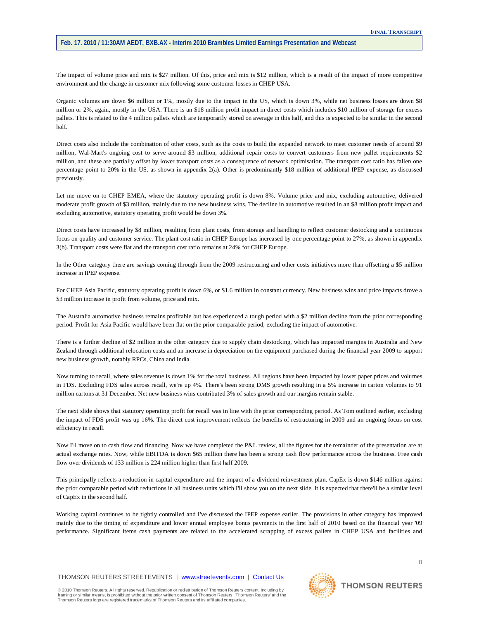The impact of volume price and mix is \$27 million. Of this, price and mix is \$12 million, which is a result of the impact of more competitive environment and the change in customer mix following some customer losses in CHEP USA.

Organic volumes are down \$6 million or 1%, mostly due to the impact in the US, which is down 3%, while net business losses are down \$8 million or 2%, again, mostly in the USA. There is an \$18 million profit impact in direct costs which includes \$10 million of storage for excess pallets. This is related to the 4 million pallets which are temporarily stored on average in this half, and this is expected to be similar in the second half.

Direct costs also include the combination of other costs, such as the costs to build the expanded network to meet customer needs of around \$9 million, Wal-Mart's ongoing cost to serve around \$3 million, additional repair costs to convert customers from new pallet requirements \$2 million, and these are partially offset by lower transport costs as a consequence of network optimisation. The transport cost ratio has fallen one percentage point to 20% in the US, as shown in appendix 2(a). Other is predominantly \$18 million of additional IPEP expense, as discussed previously.

Let me move on to CHEP EMEA, where the statutory operating profit is down 8%. Volume price and mix, excluding automotive, delivered moderate profit growth of \$3 million, mainly due to the new business wins. The decline in automotive resulted in an \$8 million profit impact and excluding automotive, statutory operating profit would be down 3%.

Direct costs have increased by \$8 million, resulting from plant costs, from storage and handling to reflect customer destocking and a continuous focus on quality and customer service. The plant cost ratio in CHEP Europe has increased by one percentage point to 27%, as shown in appendix 3(b). Transport costs were flat and the transport cost ratio remains at 24% for CHEP Europe.

In the Other category there are savings coming through from the 2009 restructuring and other costs initiatives more than offsetting a \$5 million increase in IPEP expense.

For CHEP Asia Pacific, statutory operating profit is down 6%, or \$1.6 million in constant currency. New business wins and price impacts drove a \$3 million increase in profit from volume, price and mix.

The Australia automotive business remains profitable but has experienced a tough period with a \$2 million decline from the prior corresponding period. Profit for Asia Pacific would have been flat on the prior comparable period, excluding the impact of automotive.

There is a further decline of \$2 million in the other category due to supply chain destocking, which has impacted margins in Australia and New Zealand through additional relocation costs and an increase in depreciation on the equipment purchased during the financial year 2009 to support new business growth, notably RPCs, China and India.

Now turning to recall, where sales revenue is down 1% for the total business. All regions have been impacted by lower paper prices and volumes in FDS. Excluding FDS sales across recall, we're up 4%. There's been strong DMS growth resulting in a 5% increase in carton volumes to 91 million cartons at 31 December. Net new business wins contributed 3% of sales growth and our margins remain stable.

The next slide shows that statutory operating profit for recall was in line with the prior corresponding period. As Tom outlined earlier, excluding the impact of FDS profit was up 16%. The direct cost improvement reflects the benefits of restructuring in 2009 and an ongoing focus on cost efficiency in recall.

Now I'll move on to cash flow and financing. Now we have completed the P&L review, all the figures for the remainder of the presentation are at actual exchange rates. Now, while EBITDA is down \$65 million there has been a strong cash flow performance across the business. Free cash flow over dividends of 133 million is 224 million higher than first half 2009.

This principally reflects a reduction in capital expenditure and the impact of a dividend reinvestment plan. CapEx is down \$146 million against the prior comparable period with reductions in all business units which I'll show you on the next slide. It is expected that there'll be a similar level of CapEx in the second half.

Working capital continues to be tightly controlled and I've discussed the IPEP expense earlier. The provisions in other category has improved mainly due to the timing of expenditure and lower annual employee bonus payments in the first half of 2010 based on the financial year '09 performance. Significant items cash payments are related to the accelerated scrapping of excess pallets in CHEP USA and facilities and

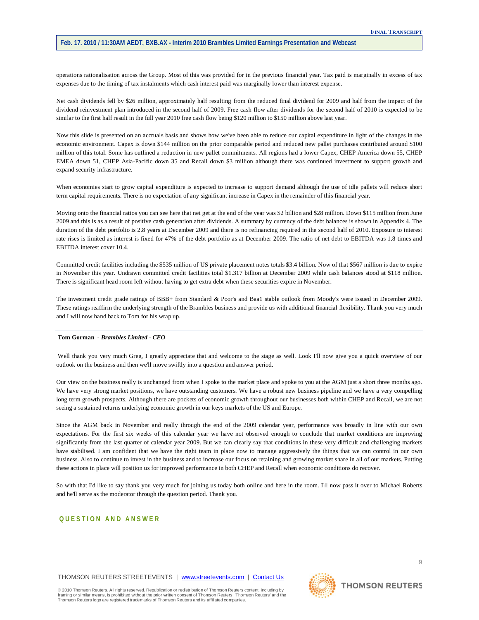operations rationalisation across the Group. Most of this was provided for in the previous financial year. Tax paid is marginally in excess of tax expenses due to the timing of tax instalments which cash interest paid was marginally lower than interest expense.

Net cash dividends fell by \$26 million, approximately half resulting from the reduced final dividend for 2009 and half from the impact of the dividend reinvestment plan introduced in the second half of 2009. Free cash flow after dividends for the second half of 2010 is expected to be similar to the first half result in the full year 2010 free cash flow being \$120 million to \$150 million above last year.

Now this slide is presented on an accruals basis and shows how we've been able to reduce our capital expenditure in light of the changes in the economic environment. Capex is down \$144 million on the prior comparable period and reduced new pallet purchases contributed around \$100 million of this total. Some has outlined a reduction in new pallet commitments. All regions had a lower Capex, CHEP America down 55, CHEP EMEA down 51, CHEP Asia-Pacific down 35 and Recall down \$3 million although there was continued investment to support growth and expand security infrastructure.

When economies start to grow capital expenditure is expected to increase to support demand although the use of idle pallets will reduce short term capital requirements. There is no expectation of any significant increase in Capex in the remainder of this financial year.

Moving onto the financial ratios you can see here that net get at the end of the year was \$2 billion and \$28 million. Down \$115 million from June 2009 and this is as a result of positive cash generation after dividends. A summary by currency of the debt balances is shown in Appendix 4. The duration of the debt portfolio is 2.8 years at December 2009 and there is no refinancing required in the second half of 2010. Exposure to interest rate rises is limited as interest is fixed for 47% of the debt portfolio as at December 2009. The ratio of net debt to EBITDA was 1.8 times and EBITDA interest cover 10.4.

Committed credit facilities including the \$535 million of US private placement notes totals \$3.4 billion. Now of that \$567 million is due to expire in November this year. Undrawn committed credit facilities total \$1.317 billion at December 2009 while cash balances stood at \$118 million. There is significant head room left without having to get extra debt when these securities expire in November.

The investment credit grade ratings of BBB+ from Standard & Poor's and Baa1 stable outlook from Moody's were issued in December 2009. These ratings reaffirm the underlying strength of the Brambles business and provide us with additional financial flexibility. Thank you very much and I will now hand back to Tom for his wrap up.

## **Tom Gorman** *- Brambles Limited - CEO*

Well thank you very much Greg, I greatly appreciate that and welcome to the stage as well. Look I'll now give you a quick overview of our outlook on the business and then we'll move swiftly into a question and answer period.

Our view on the business really is unchanged from when I spoke to the market place and spoke to you at the AGM just a short three months ago. We have very strong market positions, we have outstanding customers. We have a robust new business pipeline and we have a very compelling long term growth prospects. Although there are pockets of economic growth throughout our businesses both within CHEP and Recall, we are not seeing a sustained returns underlying economic growth in our keys markets of the US and Europe.

Since the AGM back in November and really through the end of the 2009 calendar year, performance was broadly in line with our own expectations. For the first six weeks of this calendar year we have not observed enough to conclude that market conditions are improving significantly from the last quarter of calendar year 2009. But we can clearly say that conditions in these very difficult and challenging markets have stabilised. I am confident that we have the right team in place now to manage aggressively the things that we can control in our own business. Also to continue to invest in the business and to increase our focus on retaining and growing market share in all of our markets. Putting these actions in place will position us for improved performance in both CHEP and Recall when economic conditions do recover.

So with that I'd like to say thank you very much for joining us today both online and here in the room. I'll now pass it over to Michael Roberts and he'll serve as the moderator through the question period. Thank you.

# **QUESTION AND ANSWER**

THOMSON REUTERS STREETEVENTS | [www.streetevents.com](http://www.streetevents.com/) | [Contact Us](http://www010.streetevents.com/contact.asp)

© 2010 Thomson Reuters. All rights reserved. Republication or redistribution of Thomson Reuters content, including by<br>framing or similar means, is prohibited without the prior written consent of Thomson Reuters. 'Thomson R Thomson Reuters logo are registered trademarks of Thomson Reuters and its affiliated companies.

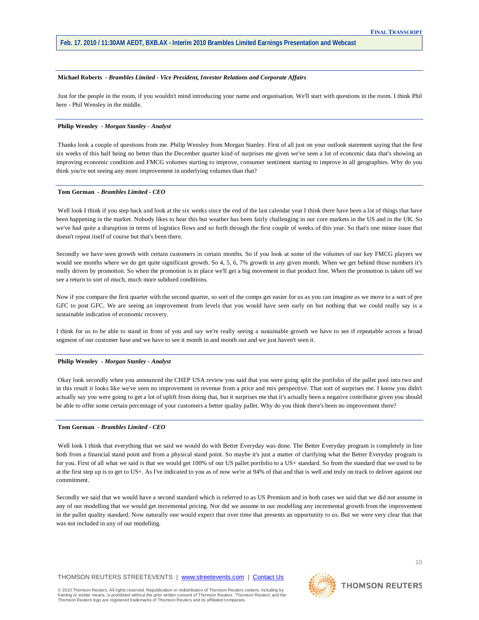#### **Michael Roberts** *- Brambles Limited - Vice President, Investor Relations and Corporate Affairs*

Just for the people in the room, if you wouldn't mind introducing your name and organisation. We'll start with questions in the room. I think Phil here - Phil Wensley in the middle.

# **Philip Wensley** *- Morgan Stanley - Analyst*

Thanks look a couple of questions from me. Philip Wensley from Morgan Stanley. First of all just on your outlook statement saying that the first six weeks of this half being no better than the December quarter kind of surprises me given we've seen a lot of economic data that's showing an improving economic condition and FMCG volumes starting to improve, consumer sentiment starting to improve in all geographies. Why do you think you're not seeing any more improvement in underlying volumes than that?

## **Tom Gorman** *- Brambles Limited - CEO*

Well look I think if you step back and look at the six weeks since the end of the last calendar year I think there have been a lot of things that have been happening in the market. Nobody likes to hear this but weather has been fairly challenging in our core markets in the US and in the UK. So we've had quite a disruption in terms of logistics flows and so forth through the first couple of weeks of this year. So that's one minor issue that doesn't repeat itself of course but that's been there.

Secondly we have seen growth with certain customers in certain months. So if you look at some of the volumes of our key FMCG players we would see months where we do get quite significant growth. So 4, 5, 6, 7% growth in any given month. When we get behind those numbers it's really driven by promotion. So when the promotion is in place we'll get a big movement in that product line. When the promotion is taken off we see a return to sort of much, much more subdued conditions.

Now if you compare the first quarter with the second quarter, so sort of the comps get easier for us as you can imagine as we move to a sort of pre GFC to post GFC. We are seeing an improvement from levels that you would have seen early on but nothing that we could really say is a sustainable indication of economic recovery.

I think for us to be able to stand in front of you and say we're really seeing a sustainable growth we have to see if repeatable across a broad segment of our customer base and we have to see it month in and month out and we just haven't seen it.

## **Philip Wensley** *- Morgan Stanley - Analyst*

Okay look secondly when you announced the CHEP USA review you said that you were going split the portfolio of the pallet pool into two and in this result it looks like we've seen no improvement in revenue from a price and mix perspective. That sort of surprises me. I know you didn't actually say you were going to get a lot of uplift from doing that, but it surprises me that it's actually been a negative contributor given you should be able to offer some certain percentage of your customers a better quality pallet. Why do you think there's been no improvement there?

#### **Tom Gorman** *- Brambles Limited - CEO*

Well look I think that everything that we said we would do with Better Everyday was done. The Better Everyday program is completely in line both from a financial stand point and from a physical stand point. So maybe it's just a matter of clarifying what the Better Everyday program is for you. First of all what we said is that we would get 100% of our US pallet portfolio to a US+ standard. So from the standard that we used to be at the first step up is to get to US+. As I've indicated to you as of now we're at 94% of that and that is well and truly on track to deliver against our commitment.

Secondly we said that we would have a second standard which is referred to as US Premium and in both cases we said that we did not assume in any of our modelling that we would get incremental pricing. Nor did we assume in our modelling any incremental growth from the improvement in the pallet quality standard. Now naturally one would expect that over time that presents an opportunity to us. But we were very clear that that was not included in any of our modelling.



**THOMSON REUTERS**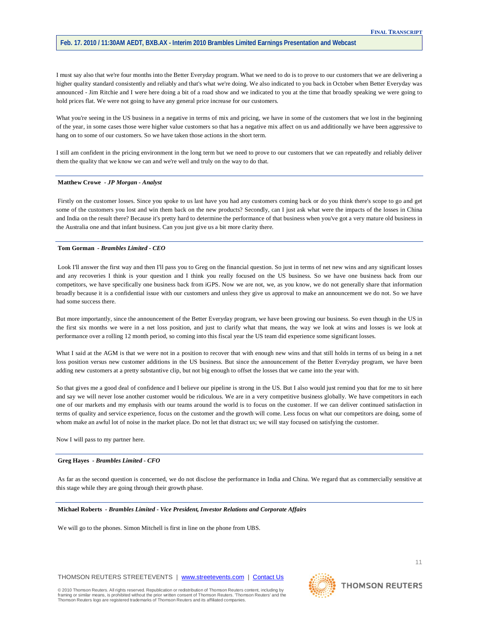I must say also that we're four months into the Better Everyday program. What we need to do is to prove to our customers that we are delivering a higher quality standard consistently and reliably and that's what we're doing. We also indicated to you back in October when Better Everyday was announced - Jim Ritchie and I were here doing a bit of a road show and we indicated to you at the time that broadly speaking we were going to hold prices flat. We were not going to have any general price increase for our customers.

What you're seeing in the US business in a negative in terms of mix and pricing, we have in some of the customers that we lost in the beginning of the year, in some cases those were higher value customers so that has a negative mix affect on us and additionally we have been aggressive to hang on to some of our customers. So we have taken those actions in the short term.

I still am confident in the pricing environment in the long term but we need to prove to our customers that we can repeatedly and reliably deliver them the quality that we know we can and we're well and truly on the way to do that.

## **Matthew Crowe** *- JP Morgan - Analyst*

Firstly on the customer losses. Since you spoke to us last have you had any customers coming back or do you think there's scope to go and get some of the customers you lost and win them back on the new products? Secondly, can I just ask what were the impacts of the losses in China and India on the result there? Because it's pretty hard to determine the performance of that business when you've got a very mature old business in the Australia one and that infant business. Can you just give us a bit more clarity there.

## **Tom Gorman** *- Brambles Limited - CEO*

Look I'll answer the first way and then I'll pass you to Greg on the financial question. So just in terms of net new wins and any significant losses and any recoveries I think is your question and I think you really focused on the US business. So we have one business back from our competitors, we have specifically one business back from iGPS. Now we are not, we, as you know, we do not generally share that information broadly because it is a confidential issue with our customers and unless they give us approval to make an announcement we do not. So we have had some success there.

But more importantly, since the announcement of the Better Everyday program, we have been growing our business. So even though in the US in the first six months we were in a net loss position, and just to clarify what that means, the way we look at wins and losses is we look at performance over a rolling 12 month period, so coming into this fiscal year the US team did experience some significant losses.

What I said at the AGM is that we were not in a position to recover that with enough new wins and that still holds in terms of us being in a net loss position versus new customer additions in the US business. But since the announcement of the Better Everyday program, we have been adding new customers at a pretty substantive clip, but not big enough to offset the losses that we came into the year with.

So that gives me a good deal of confidence and I believe our pipeline is strong in the US. But I also would just remind you that for me to sit here and say we will never lose another customer would be ridiculous. We are in a very competitive business globally. We have competitors in each one of our markets and my emphasis with our teams around the world is to focus on the customer. If we can deliver continued satisfaction in terms of quality and service experience, focus on the customer and the growth will come. Less focus on what our competitors are doing, some of whom make an awful lot of noise in the market place. Do not let that distract us; we will stay focused on satisfying the customer.

Now I will pass to my partner here.

# **Greg Hayes** *- Brambles Limited - CFO*

As far as the second question is concerned, we do not disclose the performance in India and China. We regard that as commercially sensitive at this stage while they are going through their growth phase.

#### **Michael Roberts** *- Brambles Limited - Vice President, Investor Relations and Corporate Affairs*

We will go to the phones. Simon Mitchell is first in line on the phone from UBS.

THOMSON REUTERS STREETEVENTS | [www.streetevents.com](http://www.streetevents.com/) | [Contact Us](http://www010.streetevents.com/contact.asp)

© 2010 Thomson Reuters. All rights reserved. Republication or redistribution of Thomson Reuters content, including by<br>framing or similar means, is prohibited without the prior written consent of Thomson Reuters. 'Thomson R Thomson Reuters logo are registered trademarks of Thomson Reuters and its affiliated companies.



**THOMSON REUTERS** 

11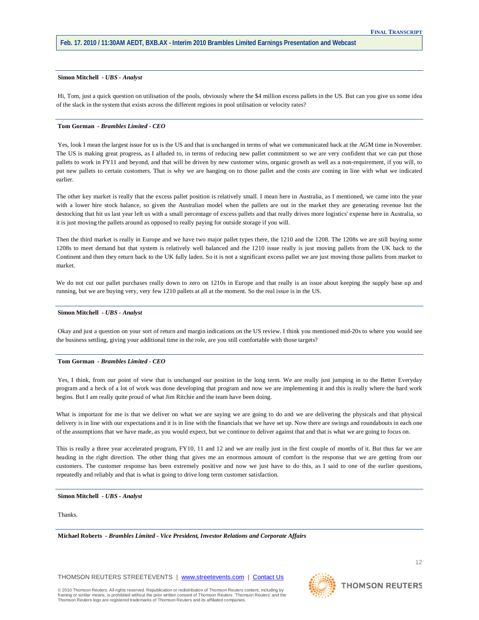# **Simon Mitchell** *- UBS - Analyst*

Hi, Tom, just a quick question on utilisation of the pools, obviously where the \$4 million excess pallets in the US. But can you give us some idea of the slack in the system that exists across the different regions in pool utilisation or velocity rates?

# **Tom Gorman** *- Brambles Limited - CEO*

Yes, look I mean the largest issue for us is the US and that is unchanged in terms of what we communicated back at the AGM time in November. The US is making great progress, as I alluded to, in terms of reducing new pallet commitment so we are very confident that we can put those pallets to work in FY11 and beyond, and that will be driven by new customer wins, organic growth as well as a non-requirement, if you will, to put new pallets to certain customers. That is why we are hanging on to those pallet and the costs are coming in line with what we indicated earlier.

The other key market is really that the excess pallet position is relatively small. I mean here in Australia, as I mentioned, we came into the year with a lower hire stock balance, so given the Australian model when the pallets are out in the market they are generating revenue but the destocking that hit us last year left us with a small percentage of excess pallets and that really drives more logistics' expense here in Australia, so it is just moving the pallets around as opposed to really paying for outside storage if you will.

Then the third market is really in Europe and we have two major pallet types there, the 1210 and the 1208. The 1208s we are still buying some 1208s to meet demand but that system is relatively well balanced and the 1210 issue really is just moving pallets from the UK back to the Continent and then they return back to the UK fully laden. So it is not a significant excess pallet we are just moving those pallets from market to market.

We do not cut our pallet purchases really down to zero on 1210s in Europe and that really is an issue about keeping the supply base up and running, but we are buying very, very few 1210 pallets at all at the moment. So the real issue is in the US.

# **Simon Mitchell** *- UBS - Analyst*

Okay and just a question on your sort of return and margin indications on the US review. I think you mentioned mid-20s to where you would see the business settling, giving your additional time in the role, are you still comfortable with those targets?

#### **Tom Gorman** *- Brambles Limited - CEO*

Yes, I think, from our point of view that is unchanged our position in the long term. We are really just jumping in to the Better Everyday program and a heck of a lot of work was done developing that program and now we are implementing it and this is really where the hard work begins. But I am really quite proud of what Jim Ritchie and the team have been doing.

What is important for me is that we deliver on what we are saying we are going to do and we are delivering the physicals and that physical delivery is in line with our expectations and it is in line with the financials that we have set up. Now there are swings and roundabouts in each one of the assumptions that we have made, as you would expect, but we continue to deliver against that and that is what we are going to focus on.

This is really a three year accelerated program, FY10, 11 and 12 and we are really just in the first couple of months of it. But thus far we are heading in the right direction. The other thing that gives me an enormous amount of comfort is the response that we are getting from our customers. The customer response has been extremely positive and now we just have to do this, as I said to one of the earlier questions, repeatedly and reliably and that is what is going to drive long term customer satisfaction.

## **Simon Mitchell** *- UBS - Analyst*

**Thanks** 

**Michael Roberts** *- Brambles Limited - Vice President, Investor Relations and Corporate Affairs* 

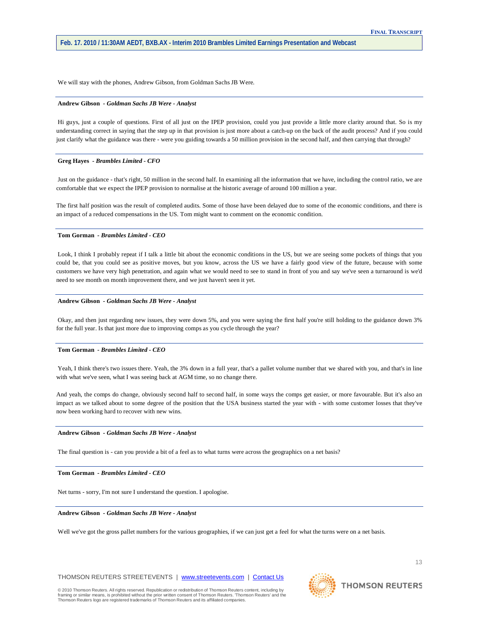We will stay with the phones, Andrew Gibson, from Goldman Sachs JB Were.

## **Andrew Gibson** *- Goldman Sachs JB Were - Analyst*

Hi guys, just a couple of questions. First of all just on the IPEP provision, could you just provide a little more clarity around that. So is my understanding correct in saying that the step up in that provision is just more about a catch-up on the back of the audit process? And if you could just clarify what the guidance was there - were you guiding towards a 50 million provision in the second half, and then carrying that through?

#### **Greg Hayes** *- Brambles Limited - CFO*

Just on the guidance - that's right, 50 million in the second half. In examining all the information that we have, including the control ratio, we are comfortable that we expect the IPEP provision to normalise at the historic average of around 100 million a year.

The first half position was the result of completed audits. Some of those have been delayed due to some of the economic conditions, and there is an impact of a reduced compensations in the US. Tom might want to comment on the economic condition.

#### **Tom Gorman** *- Brambles Limited - CEO*

Look, I think I probably repeat if I talk a little bit about the economic conditions in the US, but we are seeing some pockets of things that you could be, that you could see as positive moves, but you know, across the US we have a fairly good view of the future, because with some customers we have very high penetration, and again what we would need to see to stand in front of you and say we've seen a turnaround is we'd need to see month on month improvement there, and we just haven't seen it yet.

#### **Andrew Gibson** *- Goldman Sachs JB Were - Analyst*

Okay, and then just regarding new issues, they were down 5%, and you were saying the first half you're still holding to the guidance down 3% for the full year. Is that just more due to improving comps as you cycle through the year?

## **Tom Gorman** *- Brambles Limited - CEO*

Yeah, I think there's two issues there. Yeah, the 3% down in a full year, that's a pallet volume number that we shared with you, and that's in line with what we've seen, what I was seeing back at AGM time, so no change there.

And yeah, the comps do change, obviously second half to second half, in some ways the comps get easier, or more favourable. But it's also an impact as we talked about to some degree of the position that the USA business started the year with - with some customer losses that they've now been working hard to recover with new wins.

#### **Andrew Gibson** *- Goldman Sachs JB Were - Analyst*

The final question is - can you provide a bit of a feel as to what turns were across the geographics on a net basis?

## **Tom Gorman** *- Brambles Limited - CEO*

Net turns - sorry, I'm not sure I understand the question. I apologise.

## **Andrew Gibson** *- Goldman Sachs JB Were - Analyst*

Well we've got the gross pallet numbers for the various geographies, if we can just get a feel for what the turns were on a net basis.



**THOMSON REUTERS** 

13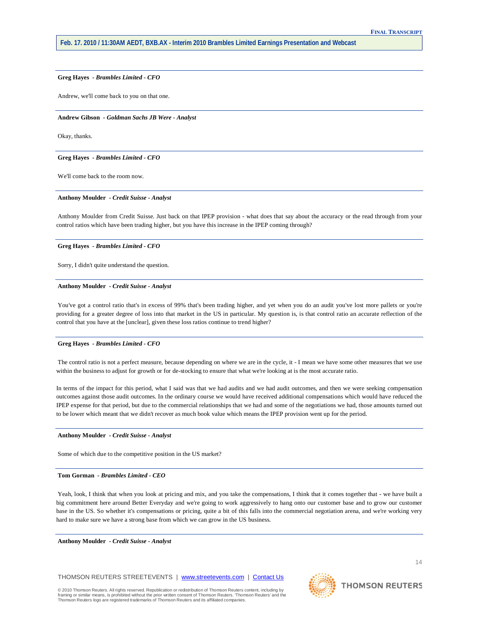## **Greg Hayes** *- Brambles Limited - CFO*

Andrew, we'll come back to you on that one.

#### **Andrew Gibson** *- Goldman Sachs JB Were - Analyst*

Okay, thanks.

#### **Greg Hayes** *- Brambles Limited - CFO*

We'll come back to the room now.

#### **Anthony Moulder** *- Credit Suisse - Analyst*

Anthony Moulder from Credit Suisse. Just back on that IPEP provision - what does that say about the accuracy or the read through from your control ratios which have been trading higher, but you have this increase in the IPEP coming through?

# **Greg Hayes** *- Brambles Limited - CFO*

Sorry, I didn't quite understand the question.

#### **Anthony Moulder** *- Credit Suisse - Analyst*

You've got a control ratio that's in excess of 99% that's been trading higher, and yet when you do an audit you've lost more pallets or you're providing for a greater degree of loss into that market in the US in particular. My question is, is that control ratio an accurate reflection of the control that you have at the [unclear], given these loss ratios continue to trend higher?

# **Greg Hayes** *- Brambles Limited - CFO*

The control ratio is not a perfect measure, because depending on where we are in the cycle, it - I mean we have some other measures that we use within the business to adjust for growth or for de-stocking to ensure that what we're looking at is the most accurate ratio.

In terms of the impact for this period, what I said was that we had audits and we had audit outcomes, and then we were seeking compensation outcomes against those audit outcomes. In the ordinary course we would have received additional compensations which would have reduced the IPEP expense for that period, but due to the commercial relationships that we had and some of the negotiations we had, those amounts turned out to be lower which meant that we didn't recover as much book value which means the IPEP provision went up for the period.

#### **Anthony Moulder** *- Credit Suisse - Analyst*

Some of which due to the competitive position in the US market?

#### **Tom Gorman** *- Brambles Limited - CEO*

Yeah, look, I think that when you look at pricing and mix, and you take the compensations, I think that it comes together that - we have built a big commitment here around Better Everyday and we're going to work aggressively to hang onto our customer base and to grow our customer base in the US. So whether it's compensations or pricing, quite a bit of this falls into the commercial negotiation arena, and we're working very hard to make sure we have a strong base from which we can grow in the US business.

# **Anthony Moulder** *- Credit Suisse - Analyst*

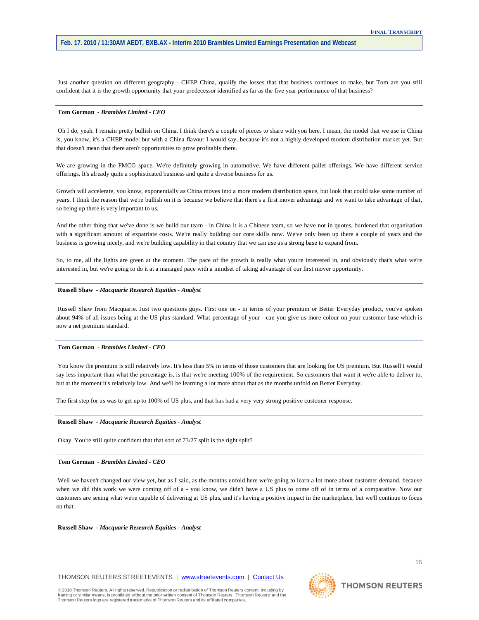Just another question on different geography - CHEP China, qualify the losses that that business continues to make, but Tom are you still confident that it is the growth opportunity that your predecessor identified as far as the five year performance of that business?

# **Tom Gorman** *- Brambles Limited - CEO*

Oh I do, yeah. I remain pretty bullish on China. I think there's a couple of pieces to share with you here. I mean, the model that we use in China is, you know, it's a CHEP model but with a China flavour I would say, because it's not a highly developed modern distribution market yet. But that doesn't mean that there aren't opportunities to grow profitably there.

We are growing in the FMCG space. We're definitely growing in automotive. We have different pallet offerings. We have different service offerings. It's already quite a sophisticated business and quite a diverse business for us.

Growth will accelerate, you know, exponentially as China moves into a more modern distribution space, but look that could take some number of years. I think the reason that we're bullish on it is because we believe that there's a first mover advantage and we want to take advantage of that, so being up there is very important to us.

And the other thing that we've done is we build our team - in China it is a Chinese team, so we have not in quotes, burdened that organisation with a significant amount of expatriate costs. We're really building our core skills now. We've only been up there a couple of years and the business is growing nicely, and we're building capability in that country that we can use as a strong base to expand from.

So, to me, all the lights are green at the moment. The pace of the growth is really what you're interested in, and obviously that's what we're interested in, but we're going to do it at a managed pace with a mindset of taking advantage of our first mover opportunity.

#### **Russell Shaw** *- Macquarie Research Equities - Analyst*

Russell Shaw from Macquarie. Just two questions guys. First one on - in terms of your premium or Better Everyday product, you've spoken about 94% of all issues being at the US plus standard. What percentage of your - can you give us more colour on your customer base which is now a net premium standard.

## **Tom Gorman** *- Brambles Limited - CEO*

You know the premium is still relatively low. It's less than 5% in terms of those customers that are looking for US premium. But Russell I would say less important than what the percentage is, is that we're meeting 100% of the requirement. So customers that want it we're able to deliver to, but at the moment it's relatively low. And we'll be learning a lot more about that as the months unfold on Better Everyday.

The first step for us was to get up to 100% of US plus, and that has had a very very strong positive customer response.

#### **Russell Shaw** *- Macquarie Research Equities - Analyst*

Okay. You're still quite confident that that sort of 73/27 split is the right split?

## **Tom Gorman** *- Brambles Limited - CEO*

Well we haven't changed our view yet, but as I said, as the months unfold here we're going to learn a lot more about customer demand, because when we did this work we were coming off of a - you know, we didn't have a US plus to come off of in terms of a comparative. Now our customers are seeing what we're capable of delivering at US plus, and it's having a positive impact in the marketplace, but we'll continue to focus on that.

**Russell Shaw** *- Macquarie Research Equities - Analyst* 

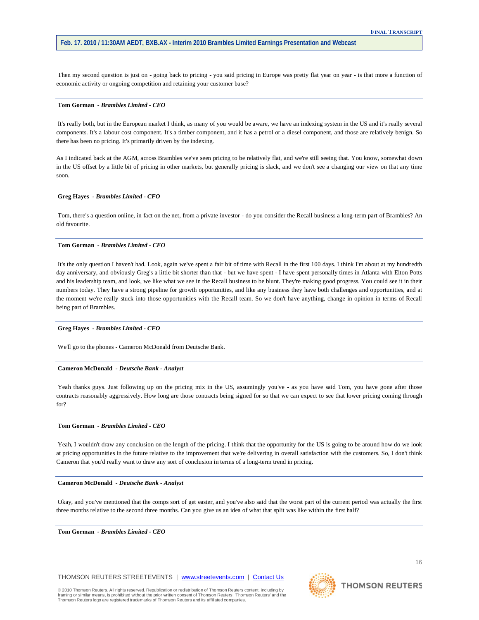Then my second question is just on - going back to pricing - you said pricing in Europe was pretty flat year on year - is that more a function of economic activity or ongoing competition and retaining your customer base?

#### **Tom Gorman** *- Brambles Limited - CEO*

It's really both, but in the European market I think, as many of you would be aware, we have an indexing system in the US and it's really several components. It's a labour cost component. It's a timber component, and it has a petrol or a diesel component, and those are relatively benign. So there has been no pricing. It's primarily driven by the indexing.

As I indicated back at the AGM, across Brambles we've seen pricing to be relatively flat, and we're still seeing that. You know, somewhat down in the US offset by a little bit of pricing in other markets, but generally pricing is slack, and we don't see a changing our view on that any time soon.

# **Greg Hayes** *- Brambles Limited - CFO*

Tom, there's a question online, in fact on the net, from a private investor - do you consider the Recall business a long-term part of Brambles? An old favourite.

## **Tom Gorman** *- Brambles Limited - CEO*

It's the only question I haven't had. Look, again we've spent a fair bit of time with Recall in the first 100 days. I think I'm about at my hundredth day anniversary, and obviously Greg's a little bit shorter than that - but we have spent - I have spent personally times in Atlanta with Elton Potts and his leadership team, and look, we like what we see in the Recall business to be blunt. They're making good progress. You could see it in their numbers today. They have a strong pipeline for growth opportunities, and like any business they have both challenges and opportunities, and at the moment we're really stuck into those opportunities with the Recall team. So we don't have anything, change in opinion in terms of Recall being part of Brambles.

#### **Greg Hayes** *- Brambles Limited - CFO*

We'll go to the phones - Cameron McDonald from Deutsche Bank.

## **Cameron McDonald** *- Deutsche Bank - Analyst*

Yeah thanks guys. Just following up on the pricing mix in the US, assumingly you've - as you have said Tom, you have gone after those contracts reasonably aggressively. How long are those contracts being signed for so that we can expect to see that lower pricing coming through for?

#### **Tom Gorman** *- Brambles Limited - CEO*

Yeah, I wouldn't draw any conclusion on the length of the pricing. I think that the opportunity for the US is going to be around how do we look at pricing opportunities in the future relative to the improvement that we're delivering in overall satisfaction with the customers. So, I don't think Cameron that you'd really want to draw any sort of conclusion in terms of a long-term trend in pricing.

#### **Cameron McDonald** *- Deutsche Bank - Analyst*

Okay, and you've mentioned that the comps sort of get easier, and you've also said that the worst part of the current period was actually the first three months relative to the second three months. Can you give us an idea of what that split was like within the first half?

**Tom Gorman** *- Brambles Limited - CEO* 

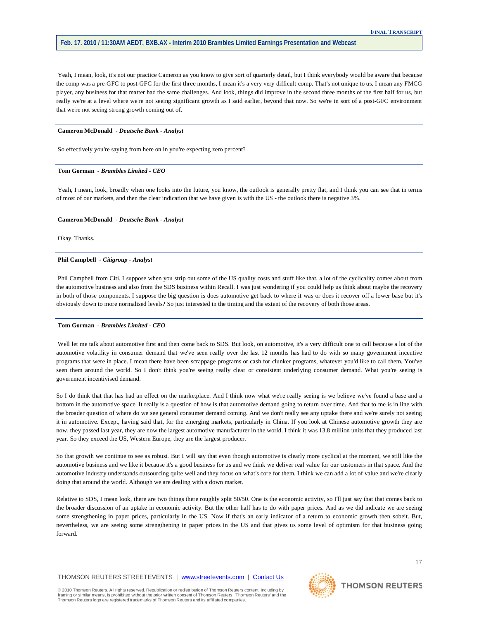Yeah, I mean, look, it's not our practice Cameron as you know to give sort of quarterly detail, but I think everybody would be aware that because the comp was a pre-GFC to post-GFC for the first three months, I mean it's a very very difficult comp. That's not unique to us. I mean any FMCG player, any business for that matter had the same challenges. And look, things did improve in the second three months of the first half for us, but really we're at a level where we're not seeing significant growth as I said earlier, beyond that now. So we're in sort of a post-GFC environment that we're not seeing strong growth coming out of.

## **Cameron McDonald** *- Deutsche Bank - Analyst*

So effectively you're saying from here on in you're expecting zero percent?

#### **Tom Gorman** *- Brambles Limited - CEO*

Yeah, I mean, look, broadly when one looks into the future, you know, the outlook is generally pretty flat, and I think you can see that in terms of most of our markets, and then the clear indication that we have given is with the US - the outlook there is negative 3%.

#### **Cameron McDonald** *- Deutsche Bank - Analyst*

Okay. Thanks.

#### **Phil Campbell** *- Citigroup - Analyst*

Phil Campbell from Citi. I suppose when you strip out some of the US quality costs and stuff like that, a lot of the cyclicality comes about from the automotive business and also from the SDS business within Recall. I was just wondering if you could help us think about maybe the recovery in both of those components. I suppose the big question is does automotive get back to where it was or does it recover off a lower base but it's obviously down to more normalised levels? So just interested in the timing and the extent of the recovery of both those areas.

#### **Tom Gorman** *- Brambles Limited - CEO*

Well let me talk about automotive first and then come back to SDS. But look, on automotive, it's a very difficult one to call because a lot of the automotive volatility in consumer demand that we've seen really over the last 12 months has had to do with so many government incentive programs that were in place. I mean there have been scrappage programs or cash for clunker programs, whatever you'd like to call them. You've seen them around the world. So I don't think you're seeing really clear or consistent underlying consumer demand. What you're seeing is government incentivised demand.

So I do think that that has had an effect on the marketplace. And I think now what we're really seeing is we believe we've found a base and a bottom in the automotive space. It really is a question of how is that automotive demand going to return over time. And that to me is in line with the broader question of where do we see general consumer demand coming. And we don't really see any uptake there and we're surely not seeing it in automotive. Except, having said that, for the emerging markets, particularly in China. If you look at Chinese automotive growth they are now, they passed last year, they are now the largest automotive manufacturer in the world. I think it was 13.8 million units that they produced last year. So they exceed the US, Western Europe, they are the largest producer.

So that growth we continue to see as robust. But I will say that even though automotive is clearly more cyclical at the moment, we still like the automotive business and we like it because it's a good business for us and we think we deliver real value for our customers in that space. And the automotive industry understands outsourcing quite well and they focus on what's core for them. I think we can add a lot of value and we're clearly doing that around the world. Although we are dealing with a down market.

Relative to SDS, I mean look, there are two things there roughly split 50/50. One is the economic activity, so I'll just say that that comes back to the broader discussion of an uptake in economic activity. But the other half has to do with paper prices. And as we did indicate we are seeing some strengthening in paper prices, particularly in the US. Now if that's an early indicator of a return to economic growth then sobeit. But, nevertheless, we are seeing some strengthening in paper prices in the US and that gives us some level of optimism for that business going forward.

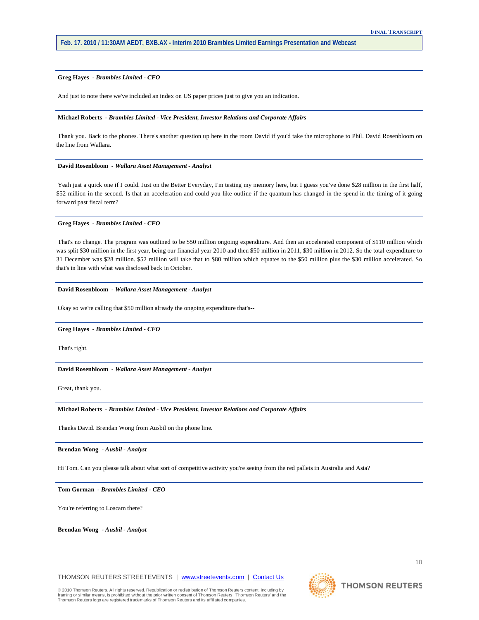## **Greg Hayes** *- Brambles Limited - CFO*

And just to note there we've included an index on US paper prices just to give you an indication.

## **Michael Roberts** *- Brambles Limited - Vice President, Investor Relations and Corporate Affairs*

Thank you. Back to the phones. There's another question up here in the room David if you'd take the microphone to Phil. David Rosenbloom on the line from Wallara.

#### **David Rosenbloom** *- Wallara Asset Management - Analyst*

Yeah just a quick one if I could. Just on the Better Everyday, I'm testing my memory here, but I guess you've done \$28 million in the first half, \$52 million in the second. Is that an acceleration and could you like outline if the quantum has changed in the spend in the timing of it going forward past fiscal term?

#### **Greg Hayes** *- Brambles Limited - CFO*

That's no change. The program was outlined to be \$50 million ongoing expenditure. And then an accelerated component of \$110 million which was split \$30 million in the first year, being our financial year 2010 and then \$50 million in 2011, \$30 million in 2012. So the total expenditure to 31 December was \$28 million. \$52 million will take that to \$80 million which equates to the \$50 million plus the \$30 million accelerated. So that's in line with what was disclosed back in October.

## **David Rosenbloom** *- Wallara Asset Management - Analyst*

Okay so we're calling that \$50 million already the ongoing expenditure that's--

#### **Greg Hayes** *- Brambles Limited - CFO*

That's right.

## **David Rosenbloom** *- Wallara Asset Management - Analyst*

Great, thank you.

## **Michael Roberts** *- Brambles Limited - Vice President, Investor Relations and Corporate Affairs*

Thanks David. Brendan Wong from Ausbil on the phone line.

**Brendan Wong** *- Ausbil - Analyst* 

Hi Tom. Can you please talk about what sort of competitive activity you're seeing from the red pallets in Australia and Asia?

**Tom Gorman** *- Brambles Limited - CEO* 

You're referring to Loscam there?

**Brendan Wong** *- Ausbil - Analyst* 

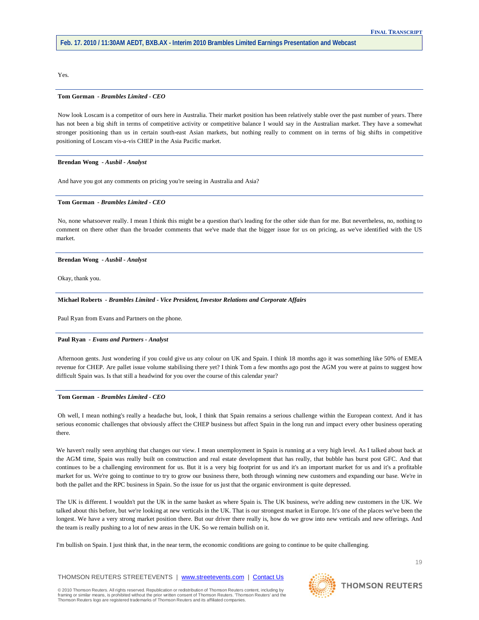Yes.

#### **Tom Gorman** *- Brambles Limited - CEO*

Now look Loscam is a competitor of ours here in Australia. Their market position has been relatively stable over the past number of years. There has not been a big shift in terms of competitive activity or competitive balance I would say in the Australian market. They have a somewhat stronger positioning than us in certain south-east Asian markets, but nothing really to comment on in terms of big shifts in competitive positioning of Loscam vis-a-vis CHEP in the Asia Pacific market.

#### **Brendan Wong** *- Ausbil - Analyst*

And have you got any comments on pricing you're seeing in Australia and Asia?

# **Tom Gorman** *- Brambles Limited - CEO*

No, none whatsoever really. I mean I think this might be a question that's leading for the other side than for me. But nevertheless, no, nothing to comment on there other than the broader comments that we've made that the bigger issue for us on pricing, as we've identified with the US market.

**Brendan Wong** *- Ausbil - Analyst* 

Okay, thank you.

#### **Michael Roberts** *- Brambles Limited - Vice President, Investor Relations and Corporate Affairs*

Paul Ryan from Evans and Partners on the phone.

## **Paul Ryan** *- Evans and Partners - Analyst*

Afternoon gents. Just wondering if you could give us any colour on UK and Spain. I think 18 months ago it was something like 50% of EMEA revenue for CHEP. Are pallet issue volume stabilising there yet? I think Tom a few months ago post the AGM you were at pains to suggest how difficult Spain was. Is that still a headwind for you over the course of this calendar year?

# **Tom Gorman** *- Brambles Limited - CEO*

Oh well, I mean nothing's really a headache but, look, I think that Spain remains a serious challenge within the European context. And it has serious economic challenges that obviously affect the CHEP business but affect Spain in the long run and impact every other business operating there.

We haven't really seen anything that changes our view. I mean unemployment in Spain is running at a very high level. As I talked about back at the AGM time, Spain was really built on construction and real estate development that has really, that bubble has burst post GFC. And that continues to be a challenging environment for us. But it is a very big footprint for us and it's an important market for us and it's a profitable market for us. We're going to continue to try to grow our business there, both through winning new customers and expanding our base. We're in both the pallet and the RPC business in Spain. So the issue for us just that the organic environment is quite depressed.

The UK is different. I wouldn't put the UK in the same basket as where Spain is. The UK business, we're adding new customers in the UK. We talked about this before, but we're looking at new verticals in the UK. That is our strongest market in Europe. It's one of the places we've been the longest. We have a very strong market position there. But our driver there really is, how do we grow into new verticals and new offerings. And the team is really pushing to a lot of new areas in the UK. So we remain bullish on it.

I'm bullish on Spain. I just think that, in the near term, the economic conditions are going to continue to be quite challenging.

## THOMSON REUTERS STREETEVENTS | [www.streetevents.com](http://www.streetevents.com/) | [Contact Us](http://www010.streetevents.com/contact.asp)

© 2010 Thomson Reuters. All rights reserved. Republication or redistribution of Thomson Reuters content, including by<br>framing or similar means, is prohibited without the prior written consent of Thomson Reuters. 'Thomson R Thomson Reuters logo are registered trademarks of Thomson Reuters and its affiliated companies.

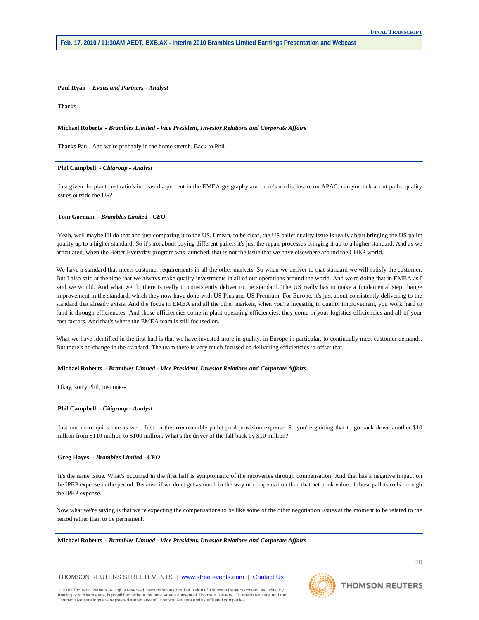# **Paul Ryan** *- Evans and Partners - Analyst*

Thanks.

## **Michael Roberts** *- Brambles Limited - Vice President, Investor Relations and Corporate Affairs*

Thanks Paul. And we're probably in the home stretch. Back to Phil.

## **Phil Campbell** *- Citigroup - Analyst*

Just given the plant cost ratio's increased a percent in the EMEA geography and there's no disclosure on APAC, can you talk about pallet quality issues outside the US?

#### **Tom Gorman** *- Brambles Limited - CEO*

Yeah, well maybe I'll do that and just comparing it to the US. I mean, to be clear, the US pallet quality issue is really about bringing the US pallet quality up to a higher standard. So it's not about buying different pallets it's just the repair processes bringing it up to a higher standard. And as we articulated, when the Better Everyday program was launched, that is not the issue that we have elsewhere around the CHEP world.

We have a standard that meets customer requirements in all the other markets. So when we deliver to that standard we will satisfy the customer. But I also said at the time that we always make quality investments in all of our operations around the world. And we're doing that in EMEA as I said we would. And what we do there is really to consistently deliver to the standard. The US really has to make a fundamental step change improvement in the standard, which they now have done with US Plus and US Premium. For Europe, it's just about consistently delivering to the standard that already exists. And the focus in EMEA and all the other markets, when you're investing in quality improvement, you work hard to fund it through efficiencies. And those efficiencies come in plant operating efficiencies, they come in your logistics efficiencies and all of your cost factors. And that's where the EMEA team is still focused on.

What we have identified in the first half is that we have invested more in quality, in Europe in particular, to continually meet customer demands. But there's no change in the standard. The team there is very much focused on delivering efficiencies to offset that.

#### **Michael Roberts** *- Brambles Limited - Vice President, Investor Relations and Corporate Affairs*

Okay, sorry Phil, just one--

## **Phil Campbell** *- Citigroup - Analyst*

Just one more quick one as well. Just on the irrecoverable pallet pool provision expense. So you're guiding that to go back down another \$10 million from \$110 million to \$100 million. What's the driver of the fall back by \$10 million?

## **Greg Hayes** *- Brambles Limited - CFO*

It's the same issue. What's occurred in the first half is symptomatic of the recoveries through compensation. And that has a negative impact on the IPEP expense in the period. Because if we don't get as much in the way of compensation then that net book value of those pallets rolls through the IPEP expense.

Now what we're saying is that we're expecting the compensations to be like some of the other negotiation issues at the moment to be related to the period rather than to be permanent.

**Michael Roberts** *- Brambles Limited - Vice President, Investor Relations and Corporate Affairs*